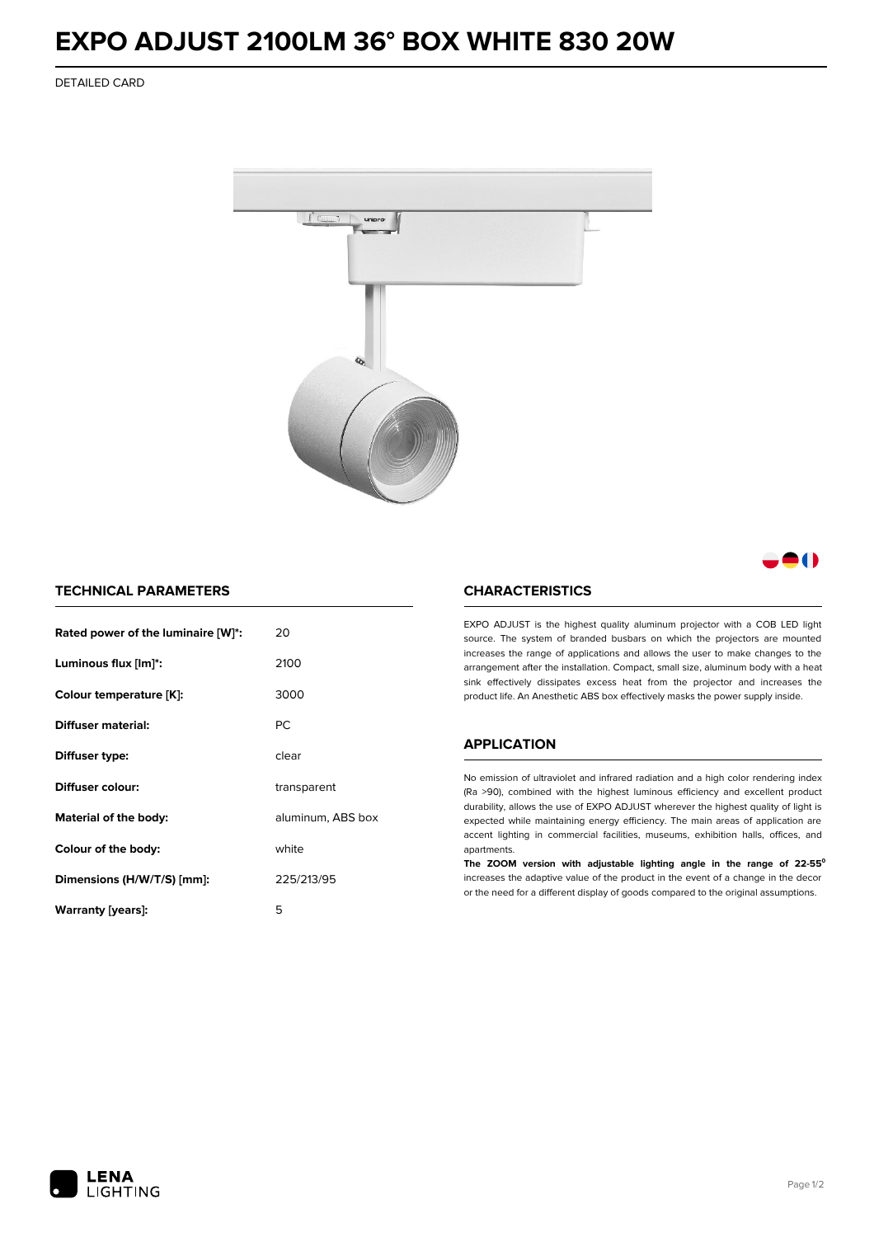## **EXPO ADJUST 2100LM 36° BOX WHITE 830 20W**

DETAILED CARD



M

### **TECHNICAL PARAMETERS**

| Rated power of the luminaire [W]*: | 20                |  |
|------------------------------------|-------------------|--|
| Luminous flux [lm]*:               | 2100              |  |
| Colour temperature [K]:            | 3000              |  |
| Diffuser material:                 | <b>PC</b>         |  |
| Diffuser type:                     | clear             |  |
| Diffuser colour:                   | transparent       |  |
| Material of the body:              | aluminum, ABS box |  |
| Colour of the body:                | white             |  |
| Dimensions (H/W/T/S) [mm]:         | 225/213/95        |  |
| Warranty (years):                  | 5                 |  |

#### **CHARACTERISTICS**

EXPO ADJUST is the highest quality aluminum projector with a COB LED light source. The system of branded busbars on which the projectors are mounted increases the range of applications and allows the user to make changes to the arrangement after the installation. Compact, small size, aluminum body with a heat sink effectively dissipates excess heat from the projector and increases the product life. An Anesthetic ABS box effectively masks the power supply inside.

#### **APPLICATION**

No emission of ultraviolet and infrared radiation and a high color rendering index (Ra >90), combined with the highest luminous efficiency and excellent product durability, allows the use of EXPO ADJUST wherever the highest quality of light is expected while maintaining energy efficiency. The main areas of application are accent lighting in commercial facilities, museums, exhibition halls, offices, and apartments.

**The ZOOM version with adjustable lighting angle in the range of 22-55⁰** increases the adaptive value of the product in the event of a change in the decor or the need for a different display of goods compared to the original assumptions.